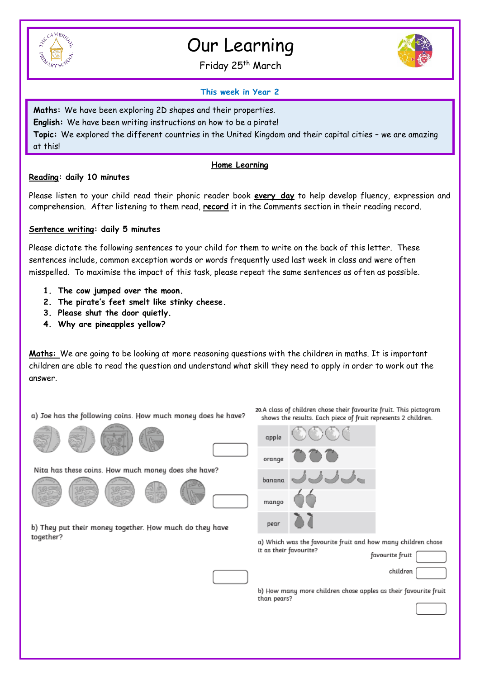

# Our Learning

Friday 25<sup>th</sup> March



#### **This week in Year 2**

**Maths:** We have been exploring 2D shapes and their properties. **English:** We have been writing instructions on how to be a pirate! **Topic:** We explored the different countries in the United Kingdom and their capital cities – we are amazing at this!

#### **Home Learning**

#### **Reading: daily 10 minutes**

Please listen to your child read their phonic reader book **every day** to help develop fluency, expression and comprehension. After listening to them read, **record** it in the Comments section in their reading record.

#### **Sentence writing: daily 5 minutes**

Please dictate the following sentences to your child for them to write on the back of this letter. These sentences include, common exception words or words frequently used last week in class and were often misspelled. To maximise the impact of this task, please repeat the same sentences as often as possible.

- **1. The cow jumped over the moon.**
- **2. The pirate's feet smelt like stinky cheese.**
- **3. Please shut the door quietly.**
- **4. Why are pineapples yellow?**

**Maths:** We are going to be looking at more reasoning questions with the children in maths. It is important children are able to read the question and understand what skill they need to apply in order to work out the answer.

a) Joe has the following coins. How much money does he have?







Nita has these coins. How much money does she have?







b) They put their money together. How much do they have together?



a) Which was the favourite fruit and how many children chose it as their favourite?  $\ddot{\phantom{a}}$ favourite fr

20.A class of children chose their favourite fruit. This pictogram

| --       |  |
|----------|--|
| cŀ<br>n. |  |

b) How many more children chose apples as their favourite fruit than pears?